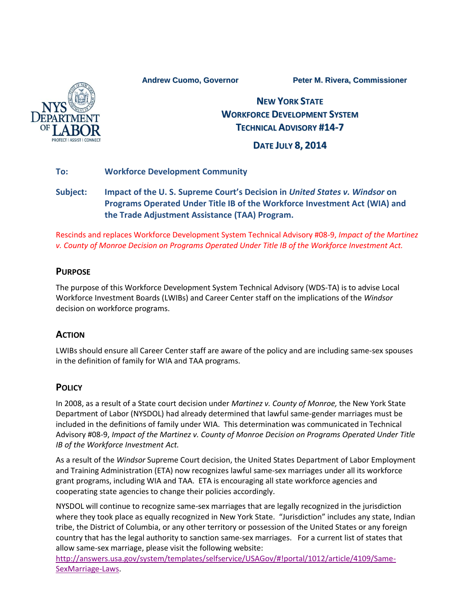**Andrew Cuomo, Governor Peter M. Rivera, Commissioner**



# **NEW YORK STATE WORKFORCE DEVELOPMENT SYSTEM TECHNICAL ADVISORY #14-7**

# **DATE JULY 8, 2014**

#### **To: Workforce Development Community**

# **Subject: Impact of the U. S. Supreme Court's Decision in** *United States v. Windsor* **on Programs Operated Under Title IB of the Workforce Investment Act (WIA) and the Trade Adjustment Assistance (TAA) Program.**

Rescinds and replaces Workforce Development System Technical Advisory #08-9, *Impact of the Martinez v. County of Monroe Decision on Programs Operated Under Title IB of the Workforce Investment Act.*

#### **PURPOSE**

The purpose of this Workforce Development System Technical Advisory (WDS-TA) is to advise Local Workforce Investment Boards (LWIBs) and Career Center staff on the implications of the *Windsor*  decision on workforce programs.

## **ACTION**

LWIBs should ensure all Career Center staff are aware of the policy and are including same-sex spouses in the definition of family for WIA and TAA programs.

## **POLICY**

In 2008, as a result of a State court decision under *Martinez v. County of Monroe,* the New York State Department of Labor (NYSDOL) had already determined that lawful same-gender marriages must be included in the definitions of family under WIA. This determination was communicated in Technical Advisory #08-9, *Impact of the Martinez v. County of Monroe Decision on Programs Operated Under Title IB of the Workforce Investment Act.*

As a result of the *Windsor* Supreme Court decision, the United States Department of Labor Employment and Training Administration (ETA) now recognizes lawful same-sex marriages under all its workforce grant programs, including WIA and TAA. ETA is encouraging all state workforce agencies and cooperating state agencies to change their policies accordingly.

NYSDOL will continue to recognize same-sex marriages that are legally recognized in the jurisdiction where they took place as equally recognized in New York State. "Jurisdiction" includes any state, Indian tribe, the District of Columbia, or any other territory or possession of the United States or any foreign country that has the legal authority to sanction same-sex marriages. For a current list of states that allow same-sex marriage, please visit the following website:

[http://answers.usa.gov/system/templates/selfservice/USAGov/#!portal/1012/article/4109/Same-](http://answers.usa.gov/system/templates/selfservice/USAGov/#!portal/1012/article/4109/Same-SexMarriage-Laws)[SexMarriage-Laws.](http://answers.usa.gov/system/templates/selfservice/USAGov/#!portal/1012/article/4109/Same-SexMarriage-Laws)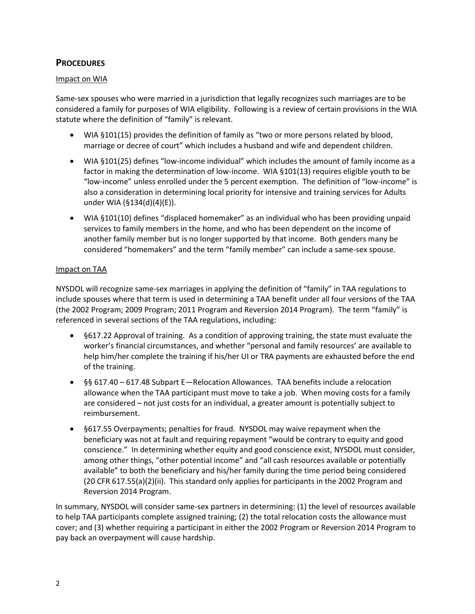### **PROCEDURES**

#### Impact on WIA

Same-sex spouses who were married in a jurisdiction that legally recognizes such marriages are to be considered a family for purposes of WIA eligibility. Following is a review of certain provisions in the WIA statute where the definition of "family" is relevant.

- WIA §101(15) provides the definition of family as "two or more persons related by blood, marriage or decree of court" which includes a husband and wife and dependent children.
- WIA §101(25) defines "low-income individual" which includes the amount of family income as a factor in making the determination of low-income. WIA §101(13) requires eligible youth to be "low-income" unless enrolled under the 5 percent exemption. The definition of "low-income" is also a consideration in determining local priority for intensive and training services for Adults under WIA (§134(d)(4)(E)).
- WIA §101(10) defines "displaced homemaker" as an individual who has been providing unpaid services to family members in the home, and who has been dependent on the income of another family member but is no longer supported by that income. Both genders many be considered "homemakers" and the term "family member" can include a same-sex spouse.

#### Impact on TAA

NYSDOL will recognize same-sex marriages in applying the definition of "family" in TAA regulations to include spouses where that term is used in determining a TAA benefit under all four versions of the TAA (the 2002 Program; 2009 Program; 2011 Program and Reversion 2014 Program). The term "family" is referenced in several sections of the TAA regulations, including:

- §617.22 Approval of training. As a condition of approving training, the state must evaluate the worker's financial circumstances, and whether "personal and family resources' are available to help him/her complete the training if his/her UI or TRA payments are exhausted before the end of the training.
- §§ 617.40 617.48 Subpart E—Relocation Allowances. TAA benefits include a relocation allowance when the TAA participant must move to take a job. When moving costs for a family are considered – not just costs for an individual, a greater amount is potentially subject to reimbursement.
- §617.55 Overpayments; penalties for fraud. NYSDOL may waive repayment when the beneficiary was not at fault and requiring repayment "would be contrary to equity and good conscience." In determining whether equity and good conscience exist, NYSDOL must consider, among other things, "other potential income" and "all cash resources available or potentially available" to both the beneficiary and his/her family during the time period being considered (20 CFR 617.55(a)(2)(ii). This standard only applies for participants in the 2002 Program and Reversion 2014 Program.

In summary, NYSDOL will consider same-sex partners in determining: (1) the level of resources available to help TAA participants complete assigned training; (2) the total relocation costs the allowance must cover; and (3) whether requiring a participant in either the 2002 Program or Reversion 2014 Program to pay back an overpayment will cause hardship.